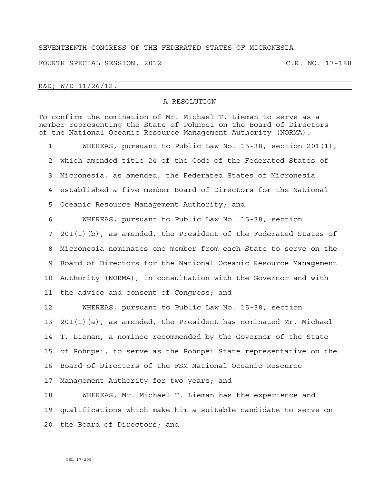## SEVENTEENTH CONGRESS OF THE FEDERATED STATES OF MICRONESIA

FOURTH SPECIAL SESSION, 2012 C.R. NO. 17-188

R&D; W/D 11/26/12.

## A RESOLUTION

To confirm the nomination of Mr. Michael T. Lieman to serve as a member representing the State of Pohnpei on the Board of Directors of the National Oceanic Resource Management Authority (NORMA). 1 WHEREAS, pursuant to Public Law No. 15-38, section 201(1), 2 which amended title 24 of the Code of the Federated States of 3 Micronesia, as amended, the Federated States of Micronesia

4 established a five member Board of Directors for the National

5 Oceanic Resource Management Authority; and

6 WHEREAS, pursuant to Public Law No. 15-38, section 7 201(1)(b), as amended, the President of the Federated States of 8 Micronesia nominates one member from each State to serve on the 9 Board of Directors for the National Oceanic Resource Management 10 Authority (NORMA), in consultation with the Governor and with 11 the advice and consent of Congress; and

12 WHEREAS, pursuant to Public Law No. 15-38, section 13 201(1)(a), as amended, the President has nominated Mr. Michael 14 T. Lieman, a nominee recommended by the Governor of the State 15 of Pohnpei, to serve as the Pohnpei State representative on the 16 Board of Directors of the FSM National Oceanic Resource 17 Management Authority for two years; and

18 WHEREAS, Mr. Michael T. Lieman has the experience and 19 qualifications which make him a suitable candidate to serve on 20 the Board of Directors; and